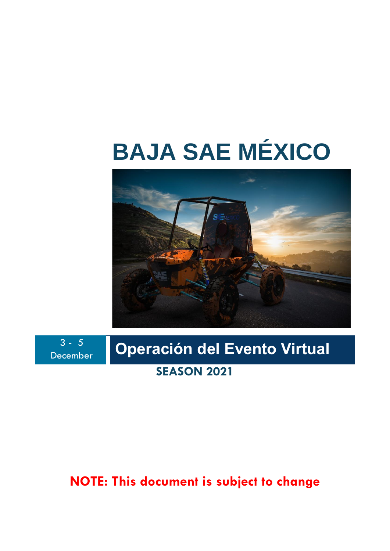## **BAJA SAE MÉXICO**



 $3 - 5$ 

# **December | Operación del Evento Virtual**

## **SEASON 2021**

### **NOTE: This document is subject to change**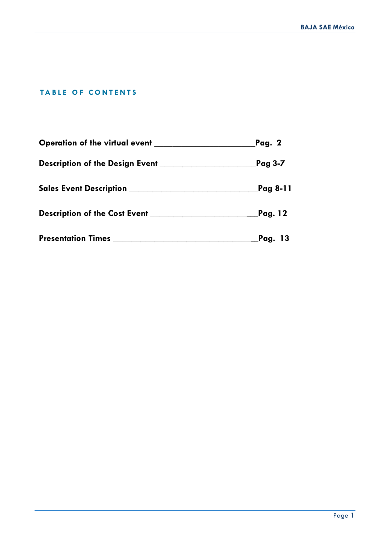#### **TABLE OF CONTENTS**

|                                                 | Pag. 2               |
|-------------------------------------------------|----------------------|
| Description of the Design Event _______________ | Pag 3-7              |
|                                                 | Pag 8-11             |
|                                                 | Pag. 12              |
| <b>Presentation Times</b>                       | Pag. 13 <sub>.</sub> |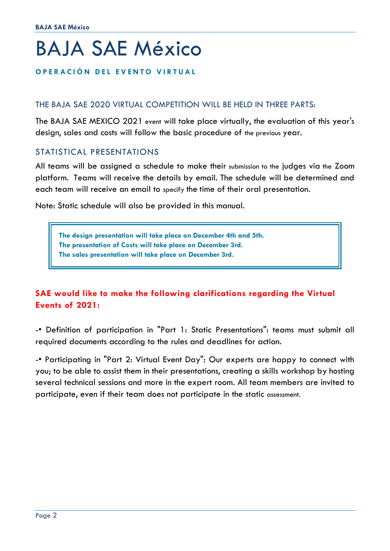## BAJA SAE México

#### **O P E R A C I Ó N D EL EVENTO VIRTUAL**

#### THE BAJA SAE 2020 VIRTUAL COMPETITION WILL BE HELD IN THREE PARTS:

The BAJA SAE MEXICO 2021 event will take place virtually, the evaluation of this year's design, sales and costs will follow the basic procedure of the previous year.

#### STATISTICAL PRESENTATIONS

All teams will be assigned a schedule to make their submission to the judges via the Zoom platform. Teams will receive the details by email. The schedule will be determined and each team will receive an email to specify the time of their oral presentation.

Note: Static schedule will also be provided in this manual.

**The design presentation will take place on December 4th and 5th. The presentation of Costs will take place on December 3rd. The sales presentation will take place on December 3rd.**

#### **SAE would like to make the following clarifications regarding the Virtual Events of 2021:**

-• Definition of participation in "Part 1: Static Presentations": teams must submit all required documents according to the rules and deadlines for action.

-• Participating in "Part 2: Virtual Event Day": Our experts are happy to connect with you; to be able to assist them in their presentations, creating a skills workshop by hosting several technical sessions and more in the expert room. All team members are invited to participate, even if their team does not participate in the static assessment.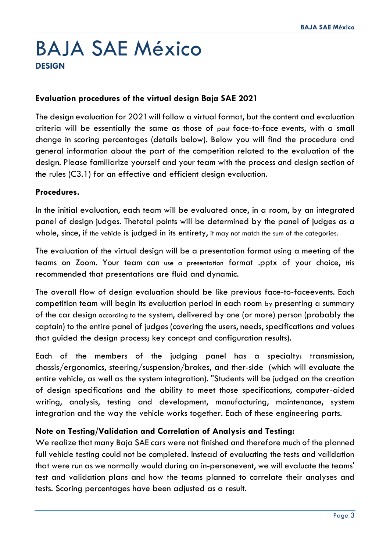## BAJA SAE México **DESIGN**

#### **Evaluation procedures of the virtual design Baja SAE 2021**

The design evaluation for 2021will follow a virtual format, but the content and evaluation criteria will be essentially the same as those of past face-to-face events, with a small change in scoring percentages (details below). Below you will find the procedure and general information about the part of the competition related to the evaluation of the design. Please familiarize yourself and your team with the process and design section of the rules (C3.1) for an effective and efficient design evaluation.

#### **Procedures.**

In the initial evaluation, each team will be evaluated once, in a room, by an integrated panel of design judges. Thetotal points will be determined by the panel of judges as a whole, since, if the vehicle is judged in its entirety, it may not match the sum of the categories.

The evaluation of the virtual design will be a presentation format using a meeting of the teams on Zoom. Your team can use a presentation format .pptx of your choice, itis recommended that presentations are fluid and dynamic.

The overall flow of design evaluation should be like previous face-to-faceevents. Each competition team will begin its evaluation period in each room by presenting a summary of the car design according to the system, delivered by one (or more) person (probably the captain) to the entire panel of judges (covering the users, needs, specifications and values that guided the design process; key concept and configuration results).

Each of the members of the judging panel has a specialty: transmission, chassis/ergonomics, steering/suspension/brakes, and ther-side (which will evaluate the entire vehicle, as well as the system integration). "Students will be judged on the creation of design specifications and the ability to meet those specifications, computer-aided writing, analysis, testing and development, manufacturing, maintenance, system integration and the way the vehicle works together. Each of these engineering parts.

#### **Note on Testing/Validation and Correlation of Analysis and Testing:**

We realize that many Baja SAE cars were not finished and therefore much of the planned full vehicle testing could not be completed. Instead of evaluating the tests and validation that were run as we normally would during an in-personevent, we will evaluate the teams' test and validation plans and how the teams planned to correlate their analyses and tests. Scoring percentages have been adjusted as a result.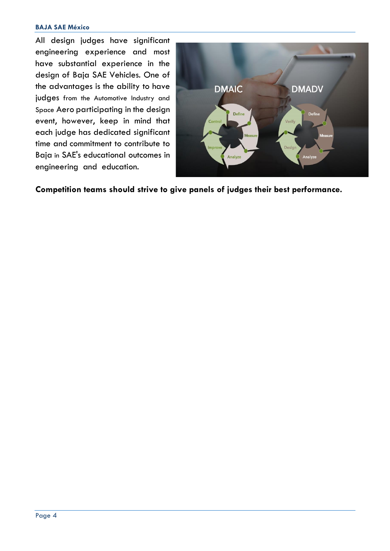#### **BAJA SAE México**

All design judges have significant engineering experience and most have substantial experience in the design of Baja SAE Vehicles. One of the advantages is the ability to have judges from the Automotive Industry and Space Aero participating in the design event, however, keep in mind that each judge has dedicated significant time and commitment to contribute to Baja in SAE's educational outcomes in engineering and education.



**Competition teams should strive to give panels of judges their best performance.**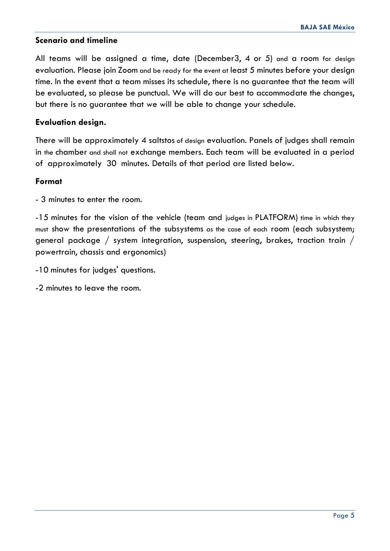#### **Scenario and timeline**

All teams will be assigned a time, date (December3, 4 or 5) and a room for design evaluation. Please join Zoom and be ready for the event at least 5 minutes before your design time. In the event that a team misses its schedule, there is no guarantee that the team will be evaluated, so please be punctual. We will do our best to accommodate the changes, but there is no guarantee that we will be able to change your schedule.

#### **Evaluation design.**

There will be approximately 4 saltstos of design evaluation. Panels of judges shall remain in the chamber and shall not exchange members. Each team will be evaluated in a period of approximately 30 minutes. Details of that period are listed below.

#### **Format**

- 3 minutes to enter the room.

-15 minutes for the vision of the vehicle (team and judges in PLATFORM) time in which they must show the presentations of the subsystems as the case of each room (each subsystem; general package / system integration, suspension, steering, brakes, traction train / powertrain, chassis and ergonomics)

- -10 minutes for judges' questions.
- -2 minutes to leave the room.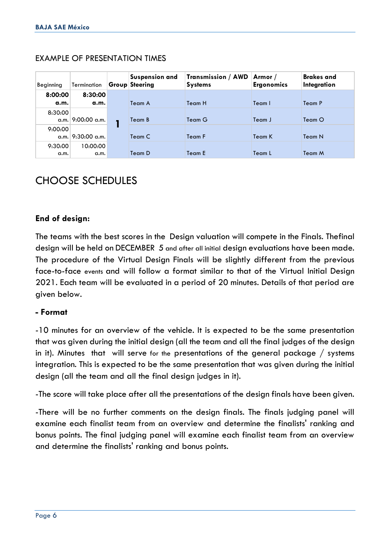| Beginning              | Termination       | <b>Suspension and</b><br><b>Group Steering</b> | <b>Transmission / AWD</b><br><b>Systems</b> | Armor /<br><b>Ergonomics</b> | <b>Brakes</b> and<br>Integration |
|------------------------|-------------------|------------------------------------------------|---------------------------------------------|------------------------------|----------------------------------|
| 8:00:00                | 8:30:00           |                                                |                                             |                              |                                  |
| a.m.                   | a.m.              | Team A                                         | Team H                                      | Team I                       | Team P                           |
| 8:30:00                | q.m. 9:00:00 q.m. | Team B                                         | Team G                                      | Team J                       | Team O                           |
| 9:00:00<br>$\alpha.m.$ | 9:30:00 a.m.      | Team C                                         | Team F                                      | Team K                       | Team N                           |
| 9:30:00<br>a.m.        | 10:00:00<br>a.m.  | Team D                                         | Team E                                      | Team L                       | Team M                           |

#### EXAMPLE OF PRESENTATION TIMES

#### CHOOSE SCHEDULES

#### **End of design:**

The teams with the best scores in the Design valuation will compete in the Finals. Thefinal design will be held on DECEMBER 5 and after all initial design evaluations have been made. The procedure of the Virtual Design Finals will be slightly different from the previous face-to-face events and will follow a format similar to that of the Virtual Initial Design 2021. Each team will be evaluated in a period of 20 minutes. Details of that period are given below.

#### **- Format**

-10 minutes for an overview of the vehicle. It is expected to be the same presentation that was given during the initial design (all the team and all the final judges of the design in it). Minutes that will serve for the presentations of the general package / systems integration. This is expected to be the same presentation that was given during the initial design (all the team and all the final design judges in it).

-The score will take place after all the presentations of the design finals have been given.

-There will be no further comments on the design finals. The finals judging panel will examine each finalist team from an overview and determine the finalists' ranking and bonus points. The final judging panel will examine each finalist team from an overview and determine the finalists' ranking and bonus points.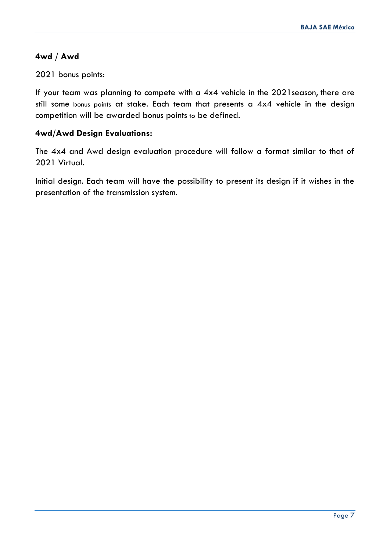#### **4wd / Awd**

#### 2021 bonus points:

If your team was planning to compete with a 4x4 vehicle in the 2021season, there are still some bonus points at stake. Each team that presents a 4x4 vehicle in the design competition will be awarded bonus points to be defined.

#### **4wd/Awd Design Evaluations:**

The 4x4 and Awd design evaluation procedure will follow a format similar to that of 2021 Virtual.

Initial design. Each team will have the possibility to present its design if it wishes in the presentation of the transmission system.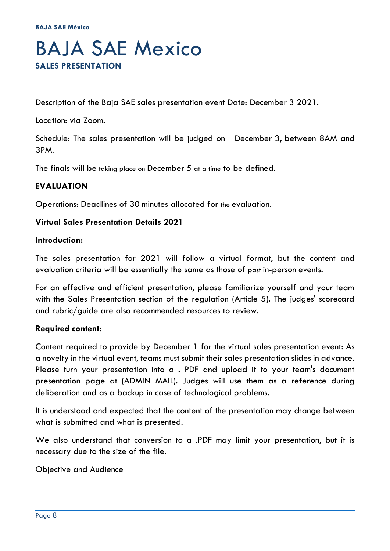## BAJA SAE Mexico **SALES PRESENTATION**

Description of the Baja SAE sales presentation event Date: December 3 2021.

Location: via Zoom.

Schedule: The sales presentation will be judged on December 3, between 8AM and 3PM.

The finals will be taking place on December 5 at a time to be defined.

#### **EVALUATION**

Operations: Deadlines of 30 minutes allocated for the evaluation.

#### **Virtual Sales Presentation Details 2021**

#### **Introduction:**

The sales presentation for 2021 will follow a virtual format, but the content and evaluation criteria will be essentially the same as those of past in-person events.

For an effective and efficient presentation, please familiarize yourself and your team with the Sales Presentation section of the regulation (Article 5). The judges' scorecard and rubric/guide are also recommended resources to review.

#### **Required content:**

Content required to provide by December 1 for the virtual sales presentation event: As a novelty in the virtual event, teams must submit their sales presentation slides in advance. Please turn your presentation into a . PDF and upload it to your team's document presentation page at (ADMIN MAIL). Judges will use them as a reference during deliberation and as a backup in case of technological problems.

It is understood and expected that the content of the presentation may change between what is submitted and what is presented.

We also understand that conversion to a .PDF may limit your presentation, but it is necessary due to the size of the file.

Objective and Audience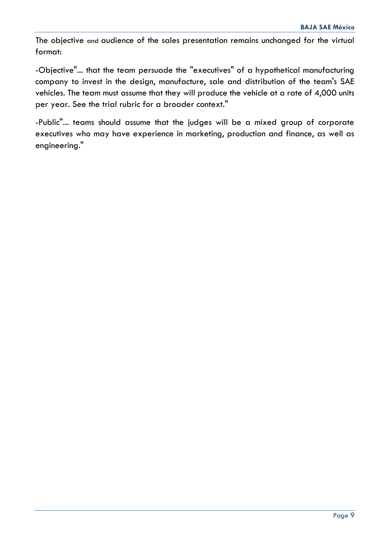The objective and audience of the sales presentation remains unchanged for the virtual format:

-Objective"... that the team persuade the "executives" of a hypothetical manufacturing company to invest in the design, manufacture, sale and distribution of the team's SAE vehicles. The team must assume that they will produce the vehicle at a rate of 4,000 units per year. See the trial rubric for a broader context."

-Public"... teams should assume that the judges will be a mixed group of corporate executives who may have experience in marketing, production and finance, as well as engineering."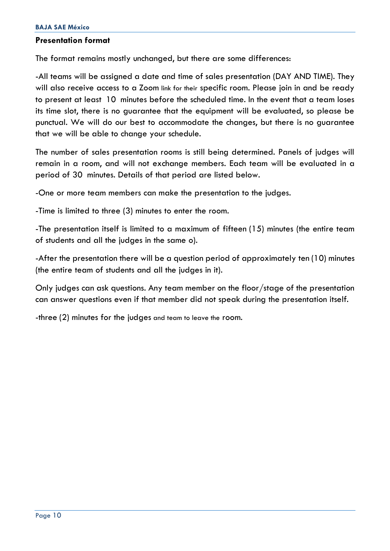#### **Presentation format**

The format remains mostly unchanged, but there are some differences:

-All teams will be assigned a date and time of sales presentation (DAY AND TIME). They will also receive access to a Zoom link for their specific room. Please join in and be ready to present at least 10 minutes before the scheduled time. In the event that a team loses its time slot, there is no guarantee that the equipment will be evaluated, so please be punctual. We will do our best to accommodate the changes, but there is no guarantee that we will be able to change your schedule.

The number of sales presentation rooms is still being determined. Panels of judges will remain in a room, and will not exchange members. Each team will be evaluated in a period of 30 minutes. Details of that period are listed below.

-One or more team members can make the presentation to the judges.

-Time is limited to three (3) minutes to enter the room.

-The presentation itself is limited to a maximum of fifteen (15) minutes (the entire team of students and all the judges in the same o).

-After the presentation there will be a question period of approximately ten (10) minutes (the entire team of students and all the judges in it).

Only judges can ask questions. Any team member on the floor/stage of the presentation can answer questions even if that member did not speak during the presentation itself.

-three (2) minutes for the judges and team to leave the room.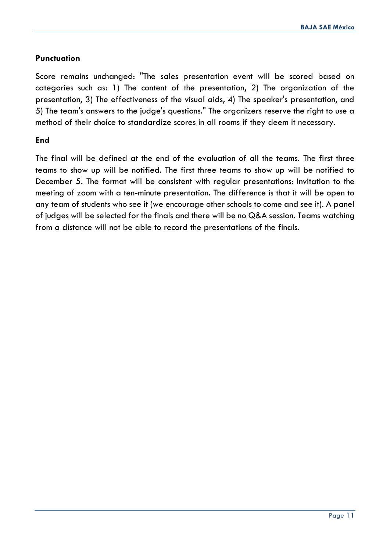#### **Punctuation**

Score remains unchanged: "The sales presentation event will be scored based on categories such as: 1) The content of the presentation, 2) The organization of the presentation, 3) The effectiveness of the visual aids, 4) The speaker's presentation, and 5) The team's answers to the judge's questions." The organizers reserve the right to use a method of their choice to standardize scores in all rooms if they deem it necessary.

#### **End**

The final will be defined at the end of the evaluation of all the teams. The first three teams to show up will be notified. The first three teams to show up will be notified to December 5. The format will be consistent with regular presentations: Invitation to the meeting of zoom with a ten-minute presentation. The difference is that it will be open to any team of students who see it (we encourage other schools to come and see it). A panel of judges will be selected for the finals and there will be no Q&A session. Teams watching from a distance will not be able to record the presentations of the finals.